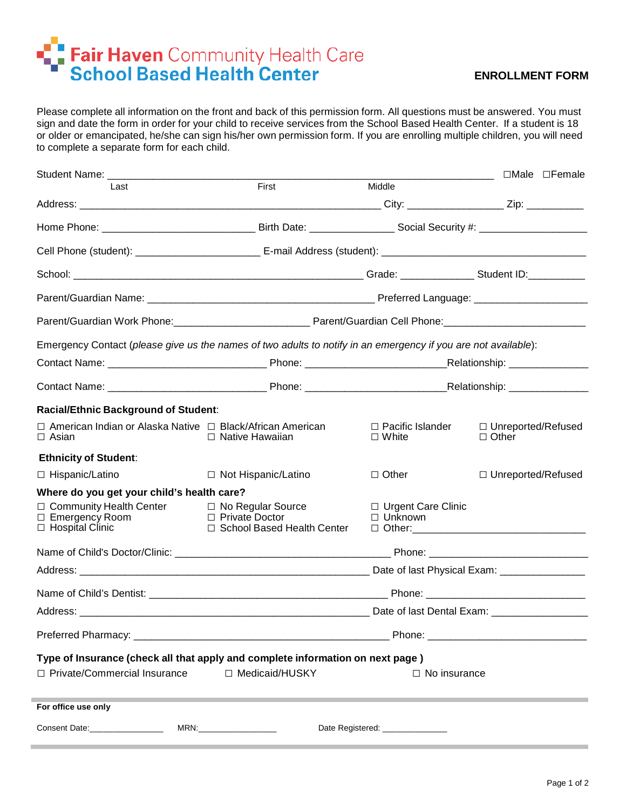## Fair Haven Community Health Care

## **ENROLLMENT FORM**

Please complete all information on the front and back of this permission form. All questions must be answered. You must sign and date the form in order for your child to receive services from the School Based Health Center. If a student is 18 or older or emancipated, he/she can sign his/her own permission form. If you are enrolling multiple children, you will need to complete a separate form for each child.

|                                                                                                                                                             |                                         | <u> 1989 - Johann Barn, fransk politik (d. 1989)</u> | □Male □Female                        |  |
|-------------------------------------------------------------------------------------------------------------------------------------------------------------|-----------------------------------------|------------------------------------------------------|--------------------------------------|--|
| Last                                                                                                                                                        | First                                   | Middle                                               |                                      |  |
|                                                                                                                                                             |                                         |                                                      |                                      |  |
|                                                                                                                                                             |                                         |                                                      |                                      |  |
|                                                                                                                                                             |                                         |                                                      |                                      |  |
|                                                                                                                                                             |                                         |                                                      |                                      |  |
|                                                                                                                                                             |                                         |                                                      |                                      |  |
|                                                                                                                                                             |                                         |                                                      |                                      |  |
| Emergency Contact (please give us the names of two adults to notify in an emergency if you are not available):                                              |                                         |                                                      |                                      |  |
|                                                                                                                                                             |                                         |                                                      |                                      |  |
|                                                                                                                                                             |                                         |                                                      |                                      |  |
| Racial/Ethnic Background of Student:                                                                                                                        |                                         |                                                      |                                      |  |
| $\Box$ American Indian or Alaska Native $\Box$ Black/African American<br>$\Box$ Asian                                                                       | $\Box$ Native Hawaiian                  | □ Pacific Islander<br>$\Box$ White                   | □ Unreported/Refused<br>$\Box$ Other |  |
| <b>Ethnicity of Student:</b>                                                                                                                                |                                         |                                                      |                                      |  |
| □ Hispanic/Latino                                                                                                                                           | □ Not Hispanic/Latino                   | $\Box$ Other                                         | □ Unreported/Refused                 |  |
| Where do you get your child's health care?                                                                                                                  |                                         |                                                      |                                      |  |
| □ Community Health Center                                                                                                                                   | □ No Regular Source<br>□ Private Doctor | $\Box$ Urgent Care Clinic                            |                                      |  |
| $\Box$ Emergency Room<br>$\Box$ Hospital Clinic                                                                                                             | □ School Based Health Center            | □ Unknown                                            |                                      |  |
|                                                                                                                                                             |                                         |                                                      |                                      |  |
|                                                                                                                                                             |                                         |                                                      |                                      |  |
|                                                                                                                                                             |                                         |                                                      |                                      |  |
|                                                                                                                                                             |                                         |                                                      |                                      |  |
|                                                                                                                                                             |                                         |                                                      |                                      |  |
| Type of Insurance (check all that apply and complete information on next page)<br>□ Private/Commercial Insurance<br>□ Medicaid/HUSKY<br>$\Box$ No insurance |                                         |                                                      |                                      |  |
| For office use only                                                                                                                                         |                                         |                                                      |                                      |  |
| Consent Date:________________                                                                                                                               | MRN:_____________________               | Date Registered: ________________                    |                                      |  |
|                                                                                                                                                             |                                         |                                                      |                                      |  |